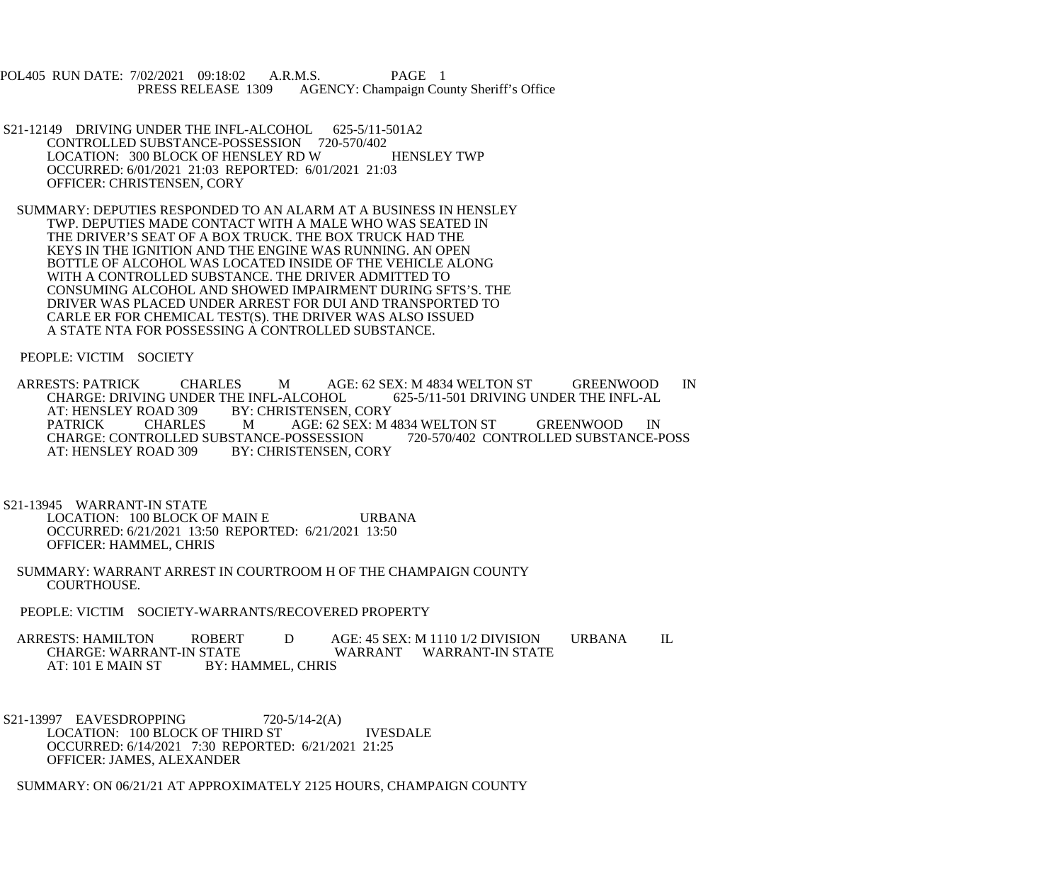POL405 RUN DATE: 7/02/2021 09:18:02 A.R.M.S. PAGE 1<br>PRESS RELEASE 1309 AGENCY: Champaign Cou AGENCY: Champaign County Sheriff's Office

- S21-12149 DRIVING UNDER THE INFL-ALCOHOL 625-5/11-501A2 CONTROLLED SUBSTANCE-POSSESSION 720-570/402 LOCATION: 300 BLOCK OF HENSLEY RD W HENSLEY TWP OCCURRED: 6/01/2021 21:03 REPORTED: 6/01/2021 21:03 OFFICER: CHRISTENSEN, CORY
- SUMMARY: DEPUTIES RESPONDED TO AN ALARM AT A BUSINESS IN HENSLEY TWP. DEPUTIES MADE CONTACT WITH A MALE WHO WAS SEATED IN THE DRIVER'S SEAT OF A BOX TRUCK. THE BOX TRUCK HAD THE KEYS IN THE IGNITION AND THE ENGINE WAS RUNNING. AN OPEN BOTTLE OF ALCOHOL WAS LOCATED INSIDE OF THE VEHICLE ALONG WITH A CONTROLLED SUBSTANCE. THE DRIVER ADMITTED TO CONSUMING ALCOHOL AND SHOWED IMPAIRMENT DURING SFTS'S. THE DRIVER WAS PLACED UNDER ARREST FOR DUI AND TRANSPORTED TO CARLE ER FOR CHEMICAL TEST(S). THE DRIVER WAS ALSO ISSUED A STATE NTA FOR POSSESSING A CONTROLLED SUBSTANCE.

PEOPLE: VICTIM SOCIETY

ARRESTS: PATRICK CHARLES M AGE: 62 SEX: M 4834 WELTON ST GREENWOOD IN CHARGE: DRIVING UNDER THE INFL-ALCOHOL 625-5/11-501 DRIVING UNDER THE INFL-AL CHARGE: DRIVING UNDER THE INFL-ALCOHOL<br>AT: HENSLEY ROAD 309 BY: CHRISTENSEN, AT: HENSLEY ROAD 309 BY: CHRISTENSEN, CORY<br>PATRICK CHARLES MAGE: 62 SEX: M AGE: 62 SEX: M 4834 WELTON ST GREENWOOD IN<br>POSSESSION 720-570/402 CONTROLLED SUBSTANCE-POSS CHARGE: CONTROLLED SUBSTANCE-POSSESSION<br>AT: HENSLEY ROAD 309 BY: CHRISTENSEN. CO BY: CHRISTENSEN, CORY

 S21-13945 WARRANT-IN STATE LOCATION: 100 BLOCK OF MAIN E URBANA OCCURRED: 6/21/2021 13:50 REPORTED: 6/21/2021 13:50 OFFICER: HAMMEL, CHRIS

- SUMMARY: WARRANT ARREST IN COURTROOM H OF THE CHAMPAIGN COUNTY COURTHOUSE.
- PEOPLE: VICTIM SOCIETY-WARRANTS/RECOVERED PROPERTY

ARRESTS: HAMILTON ROBERT D AGE: 45 SEX: M 1110 1/2 DIVISION URBANA IL<br>CHARGE: WARRANT-IN STATE WARRANT WARRANT-IN STATE CHARGE: WARRANT-IN STATE WARRANT WARRANT-IN STATE<br>AT: 101 E MAIN ST BY: HAMMEL. CHRIS BY: HAMMEL, CHRIS

S21-13997 EAVESDROPPING 720-5/14-2(A) LOCATION: 100 BLOCK OF THIRD ST IVESDALE OCCURRED: 6/14/2021 7:30 REPORTED: 6/21/2021 21:25 OFFICER: JAMES, ALEXANDER

SUMMARY: ON 06/21/21 AT APPROXIMATELY 2125 HOURS, CHAMPAIGN COUNTY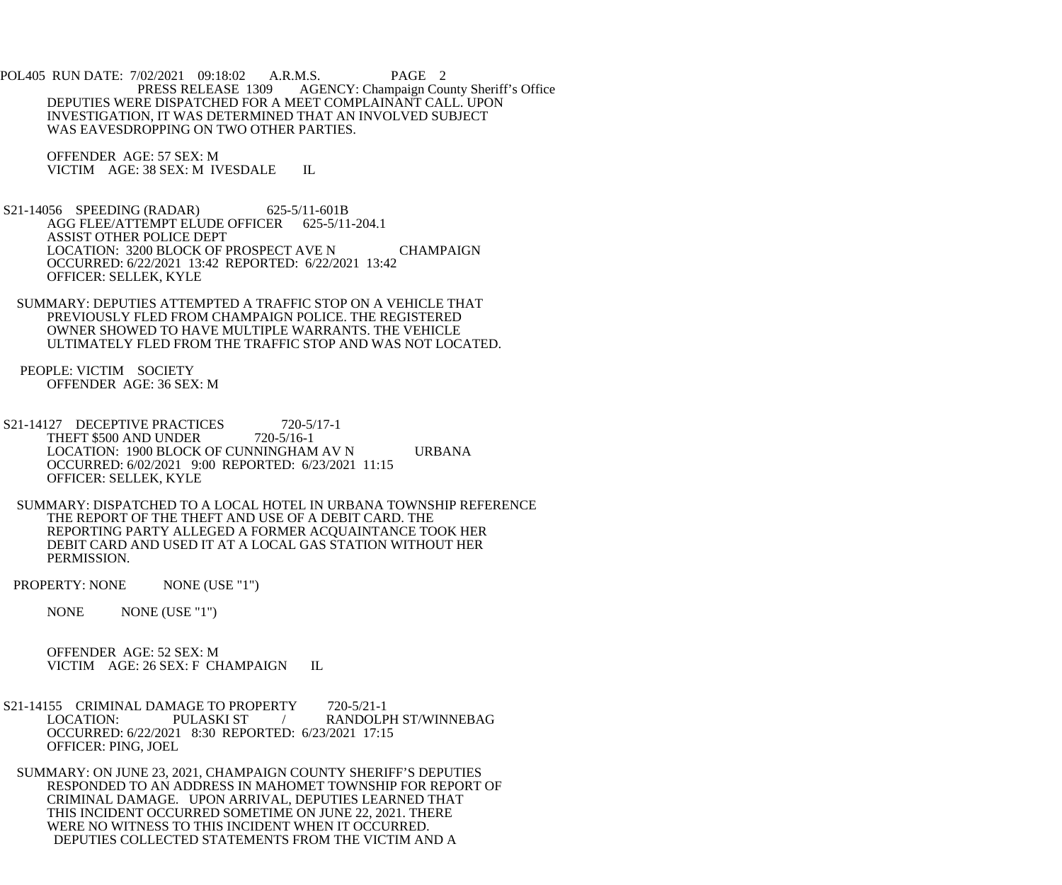POL405 RUN DATE: 7/02/2021 09:18:02 A.R.M.S. PAGE 2 PRESS RELEASE 1309 AGENCY: Champaign County Sheriff's Office DEPUTIES WERE DISPATCHED FOR A MEET COMPLAINANT CALL. UPON INVESTIGATION, IT WAS DETERMINED THAT AN INVOLVED SUBJECT WAS EAVESDROPPING ON TWO OTHER PARTIES.

 OFFENDER AGE: 57 SEX: M VICTIM AGE: 38 SEX: M IVESDALE IL

 S21-14056 SPEEDING (RADAR) 625-5/11-601B AGG FLEE/ATTEMPT ELUDE OFFICER 625-5/11-204.1 ASSIST OTHER POLICE DEPT LOCATION: 3200 BLOCK OF PROSPECT AVE N CHAMPAIGN OCCURRED: 6/22/2021 13:42 REPORTED: 6/22/2021 13:42 OFFICER: SELLEK, KYLE

 SUMMARY: DEPUTIES ATTEMPTED A TRAFFIC STOP ON A VEHICLE THAT PREVIOUSLY FLED FROM CHAMPAIGN POLICE. THE REGISTERED OWNER SHOWED TO HAVE MULTIPLE WARRANTS. THE VEHICLE ULTIMATELY FLED FROM THE TRAFFIC STOP AND WAS NOT LOCATED.

 PEOPLE: VICTIM SOCIETY OFFENDER AGE: 36 SEX: M

S21-14127 DECEPTIVE PRACTICES 720-5/17-1 THEFT \$500 AND UNDER 720-5/16-1 LOCATION: 1900 BLOCK OF CUNNINGHAM AV N URBANA OCCURRED: 6/02/2021 9:00 REPORTED: 6/23/2021 11:15 OFFICER: SELLEK, KYLE

 SUMMARY: DISPATCHED TO A LOCAL HOTEL IN URBANA TOWNSHIP REFERENCE THE REPORT OF THE THEFT AND USE OF A DEBIT CARD. THE REPORTING PARTY ALLEGED A FORMER ACQUAINTANCE TOOK HER DEBIT CARD AND USED IT AT A LOCAL GAS STATION WITHOUT HER PERMISSION.

PROPERTY: NONE NONE (USE "1")

NONE NONE (USE "1")

 OFFENDER AGE: 52 SEX: M VICTIM AGE: 26 SEX: F CHAMPAIGN IL

S21-14155 CRIMINAL DAMAGE TO PROPERTY 720-5/21-1<br>LOCATION: PULASKI ST / RANDOLP / RANDOLPH ST/WINNEBAG OCCURRED: 6/22/2021 8:30 REPORTED: 6/23/2021 17:15 OFFICER: PING, JOEL

 SUMMARY: ON JUNE 23, 2021, CHAMPAIGN COUNTY SHERIFF'S DEPUTIES RESPONDED TO AN ADDRESS IN MAHOMET TOWNSHIP FOR REPORT OF CRIMINAL DAMAGE. UPON ARRIVAL, DEPUTIES LEARNED THAT THIS INCIDENT OCCURRED SOMETIME ON JUNE 22, 2021. THERE WERE NO WITNESS TO THIS INCIDENT WHEN IT OCCURRED. DEPUTIES COLLECTED STATEMENTS FROM THE VICTIM AND A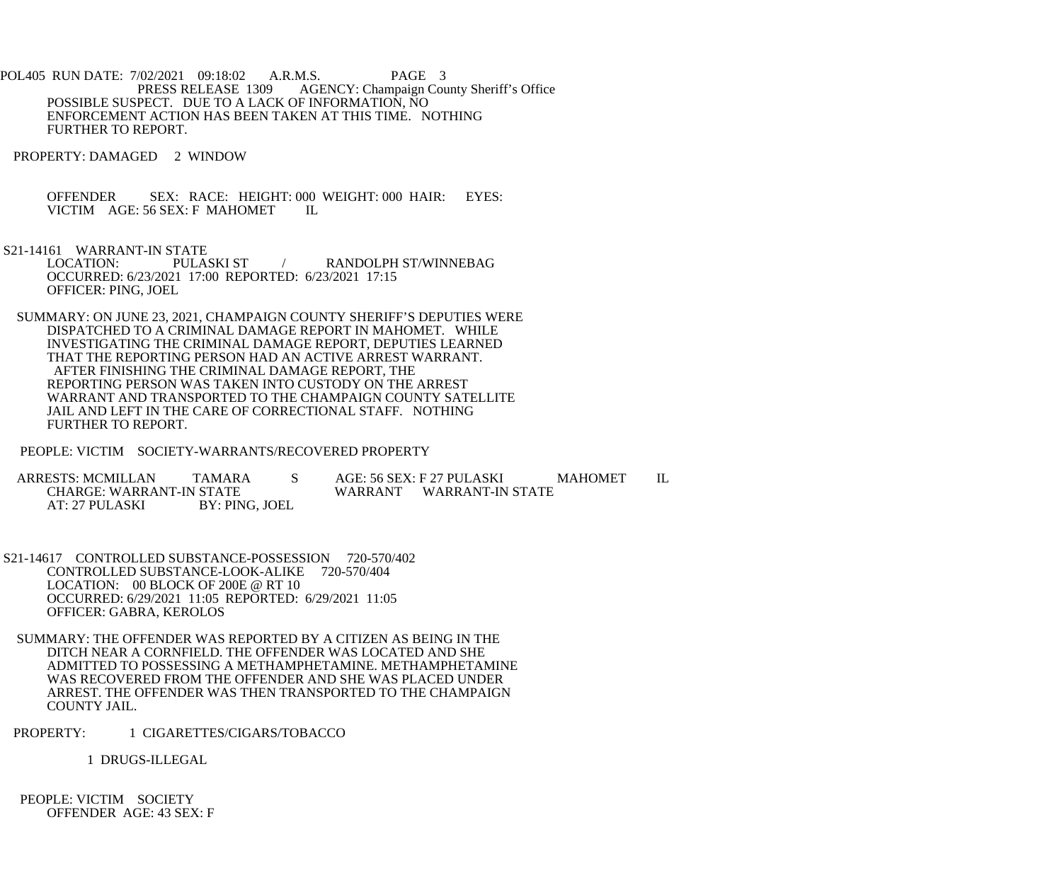POL405 RUN DATE: 7/02/2021 09:18:02 A.R.M.S. PAGE 3<br>PRESS RELEASE 1309 AGENCY: Champaign Cou AGENCY: Champaign County Sheriff's Office POSSIBLE SUSPECT. DUE TO A LACK OF INFORMATION, NO ENFORCEMENT ACTION HAS BEEN TAKEN AT THIS TIME. NOTHING FURTHER TO REPORT.

PROPERTY: DAMAGED 2 WINDOW

OFFENDER SEX: RACE: HEIGHT: 000 WEIGHT: 000 HAIR: EYES: VICTIM AGE: 56 SEX: F MAHOMET IL VICTIM AGE: 56 SEX: F MAHOMET

S21-14161 WARRANT-IN STATE<br>LOCATION: PULASKI ST / RANDOLPH ST/WINNEBAG OCCURRED: 6/23/2021 17:00 REPORTED: 6/23/2021 17:15 OFFICER: PING, JOEL

 SUMMARY: ON JUNE 23, 2021, CHAMPAIGN COUNTY SHERIFF'S DEPUTIES WERE DISPATCHED TO A CRIMINAL DAMAGE REPORT IN MAHOMET. WHILE INVESTIGATING THE CRIMINAL DAMAGE REPORT, DEPUTIES LEARNED THAT THE REPORTING PERSON HAD AN ACTIVE ARREST WARRANT. AFTER FINISHING THE CRIMINAL DAMAGE REPORT, THE REPORTING PERSON WAS TAKEN INTO CUSTODY ON THE ARREST WARRANT AND TRANSPORTED TO THE CHAMPAIGN COUNTY SATELLITE JAIL AND LEFT IN THE CARE OF CORRECTIONAL STAFF. NOTHING FURTHER TO REPORT.

PEOPLE: VICTIM SOCIETY-WARRANTS/RECOVERED PROPERTY

ARRESTS: MCMILLAN TAMARA S AGE: 56 SEX: F 27 PULASKI MAHOMET IL CHARGE: WARRANT-IN STATE STATE WARRANT WARRANT-IN STATE BY: PING. JOEL AT: 27 PULASKI

 S21-14617 CONTROLLED SUBSTANCE-POSSESSION 720-570/402 CONTROLLED SUBSTANCE-LOOK-ALIKE 720-570/404 LOCATION: 00 BLOCK OF 200E @ RT 10 OCCURRED: 6/29/2021 11:05 REPORTED: 6/29/2021 11:05 OFFICER: GABRA, KEROLOS

 SUMMARY: THE OFFENDER WAS REPORTED BY A CITIZEN AS BEING IN THE DITCH NEAR A CORNFIELD. THE OFFENDER WAS LOCATED AND SHE ADMITTED TO POSSESSING A METHAMPHETAMINE. METHAMPHETAMINE WAS RECOVERED FROM THE OFFENDER AND SHE WAS PLACED UNDER ARREST. THE OFFENDER WAS THEN TRANSPORTED TO THE CHAMPAIGN COUNTY JAIL.

PROPERTY: 1 CIGARETTES/CIGARS/TOBACCO

1 DRUGS-ILLEGAL

 PEOPLE: VICTIM SOCIETY OFFENDER AGE: 43 SEX: F